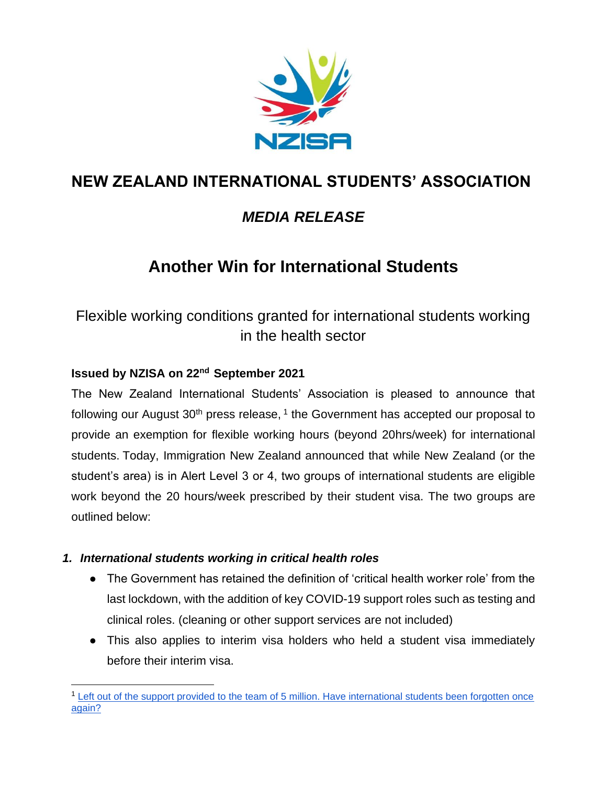

# **NEW ZEALAND INTERNATIONAL STUDENTS' ASSOCIATION**

## *MEDIA RELEASE*

# **Another Win for International Students**

## Flexible working conditions granted for international students working in the health sector

### **Issued by NZISA on 22nd September 2021**

The New Zealand International Students' Association is pleased to announce that following our August 30<sup>th</sup> press release,  $1$  the Government has accepted our proposal to provide an exemption for flexible working hours (beyond 20hrs/week) for international students. Today, Immigration New Zealand announced that while New Zealand (or the student's area) is in Alert Level 3 or 4, two groups of international students are eligible work beyond the 20 hours/week prescribed by their student visa. The two groups are outlined below:

### *1. International students working in critical health roles*

- The Government has retained the definition of 'critical health worker role' from the last lockdown, with the addition of key COVID-19 support roles such as testing and clinical roles. (cleaning or other support services are not included)
- This also applies to interim visa holders who held a student visa immediately before their interim visa.

<sup>&</sup>lt;sup>1</sup> Left out of the support provided to the team of 5 million. Have international students been forgotten once [again?](https://nzisa.co.nz/2021/08/29/865/)